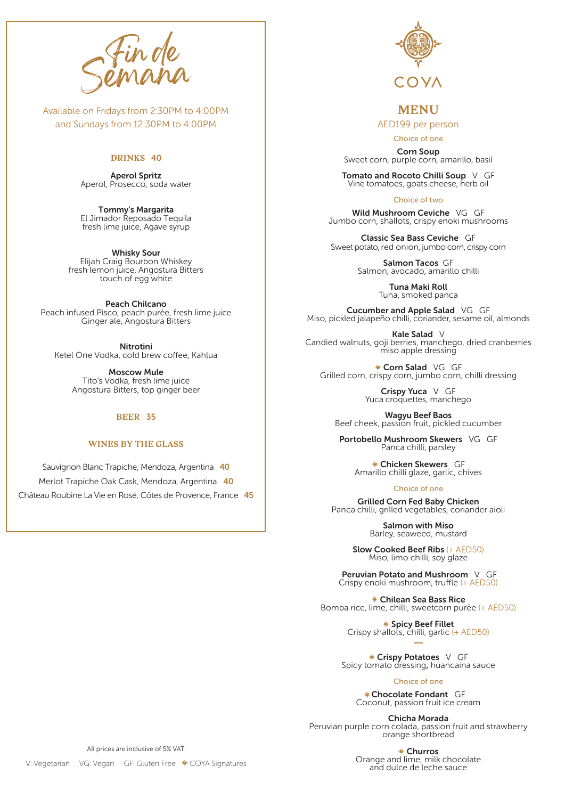

Available on Fridays from 2:30PM to 4:00PM and Sundays from 12:30PM to 4:00PM

### **DRINKS** 40

Aperol Spritz Aperol, Prosecco, soda water

Tommy's Margarita El Jimador Reposado Tequila fresh lime juice, Agave syrup

Whisky Sour Elijah Craig Bourbon Whiskey fresh lemon juice, Angostura Bitters touch of egg white

Peach Chilcano Peach infused Pisco, peach purée, fresh lime juice Ginger ale, Angostura Bitters

Nitrotini Ketel One Vodka, cold brew coffee, Kahlua

> Moscow Mule Tito's Vodka, fresh lime juice Angostura Bitters, top ginger beer

## **BEER** 35

# **WINES BY THE GLASS**

Sauvignon Blanc Trapiche, Mendoza, Argentina 40 Merlot Trapiche Oak Cask, Mendoza, Argentina 40 Château Roubine La Vie en Rosé, Côtes de Provence, France 45



# **MENU**

AED199 per person

Choice of one

Corn Soup Sweet corn, purple corn, amarillo, basil

Tomato and Rocoto Chilli Soup V GF Vine tomatoes, goats cheese, herb oil

Choice of two

Wild Mushroom Ceviche VG GF Jumbo corn, shallots, crispy enoki mushrooms

Classic Sea Bass Ceviche GF Sweet potato, red onion, jumbo corn, crispy corn

> Salmon Tacos GF Salmon, avocado, amarillo chilli

> > Tuna Maki Roll Tuna, smoked panca

Cucumber and Apple Salad VG GF Miso, pickled jalapeño chilli, coriander, sesame oil, almonds

Kale Salad V Candied walnuts, goji berries, manchego, dried cranberries miso apple dressing

Corn Salad VG GF Grilled corn, crispy corn, jumbo corn, chilli dressing

> Crispy Yuca V GF Yuca croquettes, manchego

Wagyu Beef Baos Beef cheek, passion fruit, pickled cucumber

Portobello Mushroom Skewers VG GF Panca chilli, parsley

Chicken Skewers GF Amarillo chilli glaze, garlic, chives

Choice of one

Grilled Corn Fed Baby Chicken Panca chilli, grilled vegetables, coriander aioli

> Salmon with Miso Barley, seaweed, mustard

Slow Cooked Beef Ribs (+ AED50) Miso, limo chilli, soy glaze

Peruvian Potato and Mushroom V GF Crispy enoki mushroom, truffle (+ AED50)

Chilean Sea Bass Rice Bomba rice, lime, chilli, sweetcorn purēe (+ AED50)

> Spicy Beef Fillet Crispy shallots, chilli, garlic (+ AED50)

Crispy Potatoes V GF Spicy tomato dressing, huancaina sauce

Choice of one

Chocolate Fondant GF Coconut, passion fruit ice cream

Chicha Morada Peruvian purple corn colada, passion fruit and strawberry orange shortbread

> Churros Orange and lime, milk chocolate and dulce de leche sauce